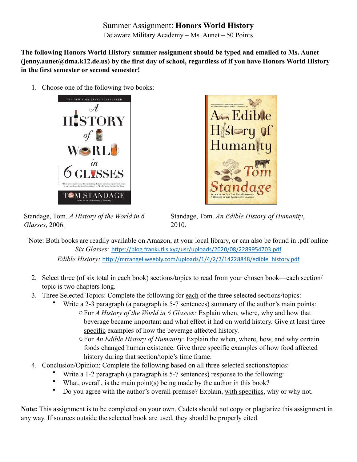Summer Assignment: **Honors World History** Delaware Military Academy – Ms. Aunet – 50 Points

**The following Honors World History summer assignment should be typed and emailed to Ms. Aunet (jenny.aunet@dma.k12.de.us) by the first day of school, regardless of if you have Honors World History in the first semester or second semester!**

1. Choose one of the following two books:





Standage, Tom. *A History of the World in 6 Glasses*, 2006.

Standage, Tom. *An Edible History of Humanity*, 2010.

Note: Both books are readily available on Amazon, at your local library, or can also be found in .pdf online *Six Glasses:* <https://blog.frankutils.xyz/usr/uploads/2020/08/2289954703.pdf> *Edible History:* [http://mrrangel.weebly.com/uploads/1/4/2/2/14228848/edible\\_history.pdf](http://mrrangel.weebly.com/uploads/1/4/2/2/14228848/edible_history.pdf)

- 2. Select three (of six total in each book) sections/topics to read from your chosen book—each section/ topic is two chapters long.
- 3. Three Selected Topics: Complete the following for each of the three selected sections/topics:
	- Write a 2-3 paragraph (a paragraph is 5-7 sentences) summary of the author's main points: oFor *A History of the World in 6 Glasses:* Explain when, where, why and how that beverage became important and what effect it had on world history. Give at least three specific examples of how the beverage affected history.
		- oFor *An Edible History of Humanity:* Explain the when, where, how, and why certain foods changed human existence. Give three specific examples of how food affected history during that section/topic's time frame.
- 4. Conclusion/Opinion: Complete the following based on all three selected sections/topics:
	- Write a 1-2 paragraph (a paragraph is 5-7 sentences) response to the following:
	- What, overall, is the main point(s) being made by the author in this book?
	- Do you agree with the author's overall premise? Explain, with specifics, why or why not.

**Note:** This assignment is to be completed on your own. Cadets should not copy or plagiarize this assignment in any way. If sources outside the selected book are used, they should be properly cited.